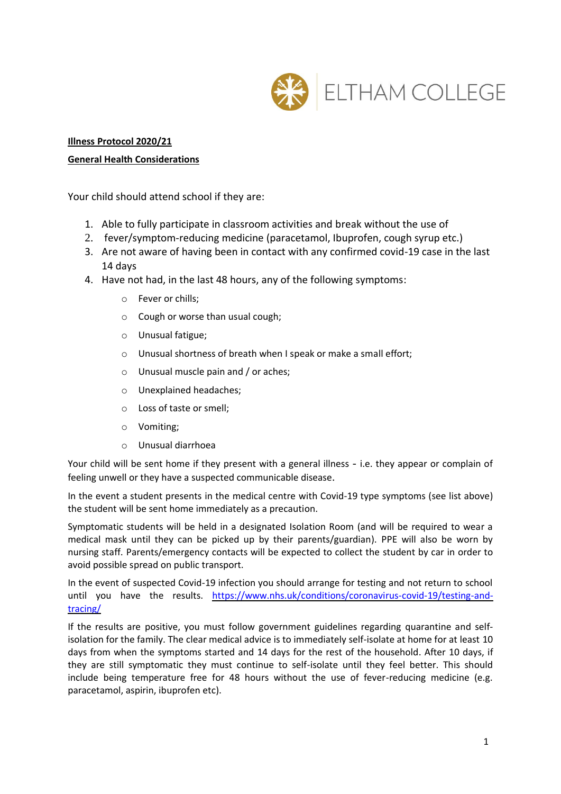

# **Illness Protocol 2020/21**

### **General Health Considerations**

Your child should attend school if they are:

- 1. Able to fully participate in classroom activities and break without the use of
- 2. fever/symptom-reducing medicine (paracetamol, Ibuprofen, cough syrup etc.)
- 3. Are not aware of having been in contact with any confirmed covid-19 case in the last 14 days
- 4. Have not had, in the last 48 hours, any of the following symptoms:
	- o Fever or chills;
	- o Cough or worse than usual cough;
	- o Unusual fatigue;
	- o Unusual shortness of breath when I speak or make a small effort;
	- o Unusual muscle pain and / or aches;
	- o Unexplained headaches;
	- o Loss of taste or smell;
	- o Vomiting;
	- o Unusual diarrhoea

Your child will be sent home if they present with a general illness - i.e. they appear or complain of feeling unwell or they have a suspected communicable disease.

In the event a student presents in the medical centre with Covid-19 type symptoms (see list above) the student will be sent home immediately as a precaution.

Symptomatic students will be held in a designated Isolation Room (and will be required to wear a medical mask until they can be picked up by their parents/guardian). PPE will also be worn by nursing staff. Parents/emergency contacts will be expected to collect the student by car in order to avoid possible spread on public transport.

In the event of suspected Covid-19 infection you should arrange for testing and not return to school until you have the results. [https://www.nhs.uk/conditions/coronavirus-covid-19/testing-and](https://www.nhs.uk/conditions/coronavirus-covid-19/testing-and-tracing/)[tracing/](https://www.nhs.uk/conditions/coronavirus-covid-19/testing-and-tracing/)

If the results are positive, you must follow government guidelines regarding quarantine and selfisolation for the family. The clear medical advice is to immediately self-isolate at home for at least 10 days from when the symptoms started and 14 days for the rest of the household. After 10 days, if they are still symptomatic they must continue to self-isolate until they feel better. This should include being temperature free for 48 hours without the use of fever-reducing medicine (e.g. paracetamol, aspirin, ibuprofen etc).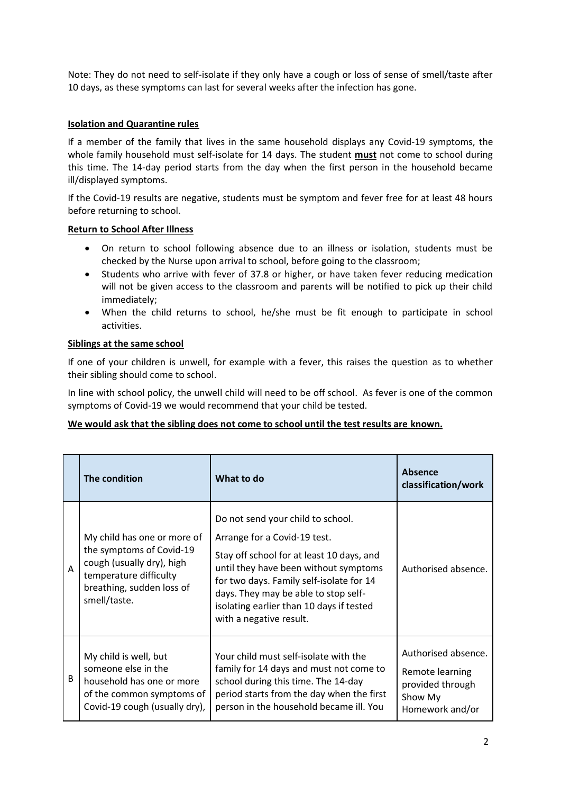Note: They do not need to self-isolate if they only have a cough or loss of sense of smell/taste after 10 days, as these symptoms can last for several weeks after the infection has gone.

# **Isolation and Quarantine rules**

If a member of the family that lives in the same household displays any Covid-19 symptoms, the whole family household must self-isolate for 14 days. The student **must** not come to school during this time. The 14-day period starts from the day when the first person in the household became ill/displayed symptoms.

If the Covid-19 results are negative, students must be symptom and fever free for at least 48 hours before returning to school.

# **Return to School After Illness**

- On return to school following absence due to an illness or isolation, students must be checked by the Nurse upon arrival to school, before going to the classroom;
- Students who arrive with fever of 37.8 or higher, or have taken fever reducing medication will not be given access to the classroom and parents will be notified to pick up their child immediately;
- When the child returns to school, he/she must be fit enough to participate in school activities.

# **Siblings at the same school**

If one of your children is unwell, for example with a fever, this raises the question as to whether their sibling should come to school.

In line with school policy, the unwell child will need to be off school. As fever is one of the common symptoms of Covid-19 we would recommend that your child be tested.

### **We would ask that the sibling does not come to school until the test results are known.**

|   | The condition                                                                                                                                               | What to do                                                                                                                                                                                                                                                                                                         | <b>Absence</b><br>classification/work                                                    |
|---|-------------------------------------------------------------------------------------------------------------------------------------------------------------|--------------------------------------------------------------------------------------------------------------------------------------------------------------------------------------------------------------------------------------------------------------------------------------------------------------------|------------------------------------------------------------------------------------------|
| A | My child has one or more of<br>the symptoms of Covid-19<br>cough (usually dry), high<br>temperature difficulty<br>breathing, sudden loss of<br>smell/taste. | Do not send your child to school.<br>Arrange for a Covid-19 test.<br>Stay off school for at least 10 days, and<br>until they have been without symptoms<br>for two days. Family self-isolate for 14<br>days. They may be able to stop self-<br>isolating earlier than 10 days if tested<br>with a negative result. | Authorised absence.                                                                      |
| B | My child is well, but<br>someone else in the<br>household has one or more<br>of the common symptoms of<br>Covid-19 cough (usually dry),                     | Your child must self-isolate with the<br>family for 14 days and must not come to<br>school during this time. The 14-day<br>period starts from the day when the first<br>person in the household became ill. You                                                                                                    | Authorised absence.<br>Remote learning<br>provided through<br>Show My<br>Homework and/or |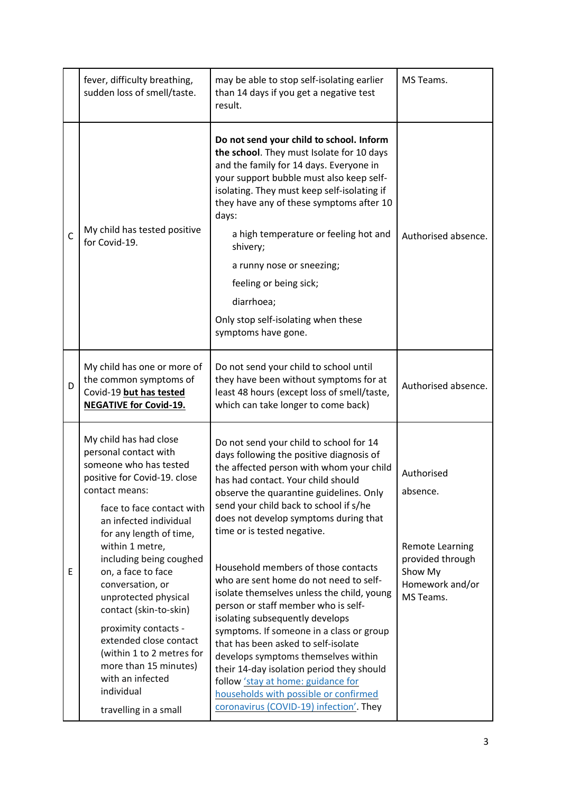|              | fever, difficulty breathing,<br>sudden loss of smell/taste.                                                                                                                                                                                                                                                                                                                                                                                                                                                                | may be able to stop self-isolating earlier<br>than 14 days if you get a negative test<br>result.                                                                                                                                                                                                                                                                                                                                                                                                                                                                                                                                                                                                                                                                                                                                             | MS Teams.                                                                                                       |
|--------------|----------------------------------------------------------------------------------------------------------------------------------------------------------------------------------------------------------------------------------------------------------------------------------------------------------------------------------------------------------------------------------------------------------------------------------------------------------------------------------------------------------------------------|----------------------------------------------------------------------------------------------------------------------------------------------------------------------------------------------------------------------------------------------------------------------------------------------------------------------------------------------------------------------------------------------------------------------------------------------------------------------------------------------------------------------------------------------------------------------------------------------------------------------------------------------------------------------------------------------------------------------------------------------------------------------------------------------------------------------------------------------|-----------------------------------------------------------------------------------------------------------------|
| $\mathsf{C}$ | My child has tested positive<br>for Covid-19.                                                                                                                                                                                                                                                                                                                                                                                                                                                                              | Do not send your child to school. Inform<br>the school. They must Isolate for 10 days<br>and the family for 14 days. Everyone in<br>your support bubble must also keep self-<br>isolating. They must keep self-isolating if<br>they have any of these symptoms after 10<br>days:<br>a high temperature or feeling hot and<br>shivery;<br>a runny nose or sneezing;<br>feeling or being sick;<br>diarrhoea;<br>Only stop self-isolating when these<br>symptoms have gone.                                                                                                                                                                                                                                                                                                                                                                     | Authorised absence.                                                                                             |
| D            | My child has one or more of<br>the common symptoms of<br>Covid-19 but has tested<br><b>NEGATIVE for Covid-19.</b>                                                                                                                                                                                                                                                                                                                                                                                                          | Do not send your child to school until<br>they have been without symptoms for at<br>least 48 hours (except loss of smell/taste,<br>which can take longer to come back)                                                                                                                                                                                                                                                                                                                                                                                                                                                                                                                                                                                                                                                                       | Authorised absence.                                                                                             |
| E            | My child has had close<br>personal contact with<br>someone who has tested<br>positive for Covid-19. close<br>contact means:<br>face to face contact with<br>an infected individual<br>for any length of time,<br>within 1 metre,<br>including being coughed<br>on, a face to face<br>conversation, or<br>unprotected physical<br>contact (skin-to-skin)<br>proximity contacts -<br>extended close contact<br>(within 1 to 2 metres for<br>more than 15 minutes)<br>with an infected<br>individual<br>travelling in a small | Do not send your child to school for 14<br>days following the positive diagnosis of<br>the affected person with whom your child<br>has had contact. Your child should<br>observe the quarantine guidelines. Only<br>send your child back to school if s/he<br>does not develop symptoms during that<br>time or is tested negative.<br>Household members of those contacts<br>who are sent home do not need to self-<br>isolate themselves unless the child, young<br>person or staff member who is self-<br>isolating subsequently develops<br>symptoms. If someone in a class or group<br>that has been asked to self-isolate<br>develops symptoms themselves within<br>their 14-day isolation period they should<br>follow 'stay at home: guidance for<br>households with possible or confirmed<br>coronavirus (COVID-19) infection'. They | Authorised<br>absence.<br><b>Remote Learning</b><br>provided through<br>Show My<br>Homework and/or<br>MS Teams. |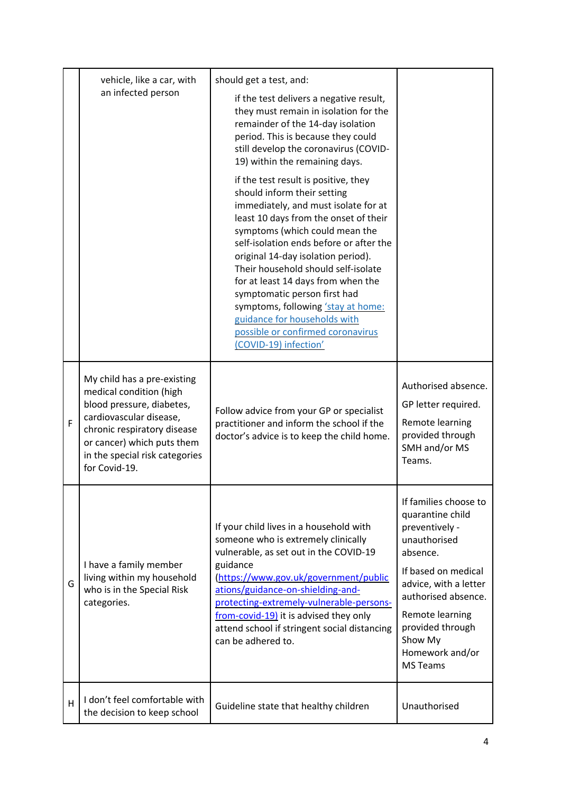|   | vehicle, like a car, with<br>an infected person                                                                                                                                                                                | should get a test, and:<br>if the test delivers a negative result,<br>they must remain in isolation for the<br>remainder of the 14-day isolation<br>period. This is because they could<br>still develop the coronavirus (COVID-<br>19) within the remaining days.<br>if the test result is positive, they<br>should inform their setting<br>immediately, and must isolate for at<br>least 10 days from the onset of their<br>symptoms (which could mean the<br>self-isolation ends before or after the<br>original 14-day isolation period).<br>Their household should self-isolate<br>for at least 14 days from when the<br>symptomatic person first had<br>symptoms, following 'stay at home:<br>guidance for households with<br>possible or confirmed coronavirus<br>(COVID-19) infection' |                                                                                                                                                                                                                                                        |
|---|--------------------------------------------------------------------------------------------------------------------------------------------------------------------------------------------------------------------------------|-----------------------------------------------------------------------------------------------------------------------------------------------------------------------------------------------------------------------------------------------------------------------------------------------------------------------------------------------------------------------------------------------------------------------------------------------------------------------------------------------------------------------------------------------------------------------------------------------------------------------------------------------------------------------------------------------------------------------------------------------------------------------------------------------|--------------------------------------------------------------------------------------------------------------------------------------------------------------------------------------------------------------------------------------------------------|
| F | My child has a pre-existing<br>medical condition (high<br>blood pressure, diabetes,<br>cardiovascular disease,<br>chronic respiratory disease<br>or cancer) which puts them<br>in the special risk categories<br>for Covid-19. | Follow advice from your GP or specialist<br>practitioner and inform the school if the<br>doctor's advice is to keep the child home.                                                                                                                                                                                                                                                                                                                                                                                                                                                                                                                                                                                                                                                           | Authorised absence.<br>GP letter required.<br>Remote learning<br>provided through<br>SMH and/or MS<br>Teams.                                                                                                                                           |
| G | I have a family member<br>living within my household<br>who is in the Special Risk<br>categories.                                                                                                                              | If your child lives in a household with<br>someone who is extremely clinically<br>vulnerable, as set out in the COVID-19<br>guidance<br>(https://www.gov.uk/government/public<br>ations/guidance-on-shielding-and-<br>protecting-extremely-vulnerable-persons-<br>from-covid-19) it is advised they only<br>attend school if stringent social distancing<br>can be adhered to.                                                                                                                                                                                                                                                                                                                                                                                                                | If families choose to<br>quarantine child<br>preventively -<br>unauthorised<br>absence.<br>If based on medical<br>advice, with a letter<br>authorised absence.<br>Remote learning<br>provided through<br>Show My<br>Homework and/or<br><b>MS Teams</b> |
| H | I don't feel comfortable with<br>the decision to keep school                                                                                                                                                                   | Guideline state that healthy children                                                                                                                                                                                                                                                                                                                                                                                                                                                                                                                                                                                                                                                                                                                                                         | Unauthorised                                                                                                                                                                                                                                           |